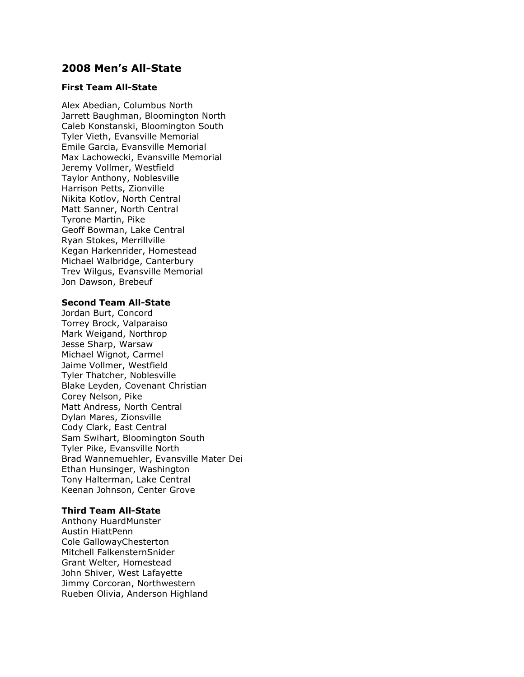# **2008 Men's All-State**

### **First Team All-State**

Alex Abedian, Columbus North Jarrett Baughman, Bloomington North Caleb Konstanski, Bloomington South Tyler Vieth, Evansville Memorial Emile Garcia, Evansville Memorial Max Lachowecki, Evansville Memorial Jeremy Vollmer, Westfield Taylor Anthony, Noblesville Harrison Petts, Zionville Nikita Kotlov, North Central Matt Sanner, North Central Tyrone Martin, Pike Geoff Bowman, Lake Central Ryan Stokes, Merrillville Kegan Harkenrider, Homestead Michael Walbridge, Canterbury Trev Wilgus, Evansville Memorial Jon Dawson, Brebeuf

### **Second Team All-State**

Jordan Burt, Concord Torrey Brock, Valparaiso Mark Weigand, Northrop Jesse Sharp, Warsaw Michael Wignot, Carmel Jaime Vollmer, Westfield Tyler Thatcher, Noblesville Blake Leyden, Covenant Christian Corey Nelson, Pike Matt Andress, North Central Dylan Mares, Zionsville Cody Clark, East Central Sam Swihart, Bloomington South Tyler Pike, Evansville North Brad Wannemuehler, Evansville Mater Dei Ethan Hunsinger, Washington Tony Halterman, Lake Central Keenan Johnson, Center Grove

### **Third Team All-State**

Anthony HuardMunster Austin HiattPenn Cole GallowayChesterton Mitchell FalkensternSnider Grant Welter, Homestead John Shiver, West Lafayette Jimmy Corcoran, Northwestern Rueben Olivia, Anderson Highland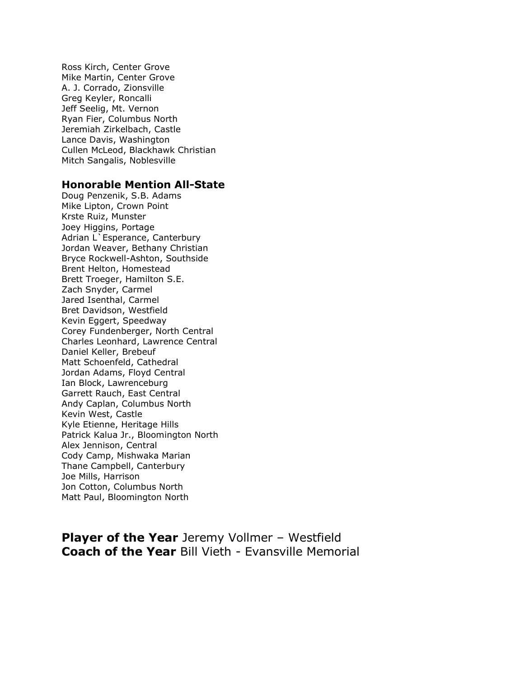Ross Kirch, Center Grove Mike Martin, Center Grove A. J. Corrado, Zionsville Greg Keyler, Roncalli Jeff Seelig, Mt. Vernon Ryan Fier, Columbus North Jeremiah Zirkelbach, Castle Lance Davis, Washington Cullen McLeod, Blackhawk Christian Mitch Sangalis, Noblesville

## **Honorable Mention All-State**

Doug Penzenik, S.B. Adams Mike Lipton, Crown Point Krste Ruiz, Munster Joey Higgins, Portage Adrian L`Esperance, Canterbury Jordan Weaver, Bethany Christian Bryce Rockwell-Ashton, Southside Brent Helton, Homestead Brett Troeger, Hamilton S.E. Zach Snyder, Carmel Jared Isenthal, Carmel Bret Davidson, Westfield Kevin Eggert, Speedway Corey Fundenberger, North Central Charles Leonhard, Lawrence Central Daniel Keller, Brebeuf Matt Schoenfeld, Cathedral Jordan Adams, Floyd Central Ian Block, Lawrenceburg Garrett Rauch, East Central Andy Caplan, Columbus North Kevin West, Castle Kyle Etienne, Heritage Hills Patrick Kalua Jr., Bloomington North Alex Jennison, Central Cody Camp, Mishwaka Marian Thane Campbell, Canterbury Joe Mills, Harrison Jon Cotton, Columbus North Matt Paul, Bloomington North

**Player of the Year** Jeremy Vollmer - Westfield **Coach of the Year** Bill Vieth - Evansville Memorial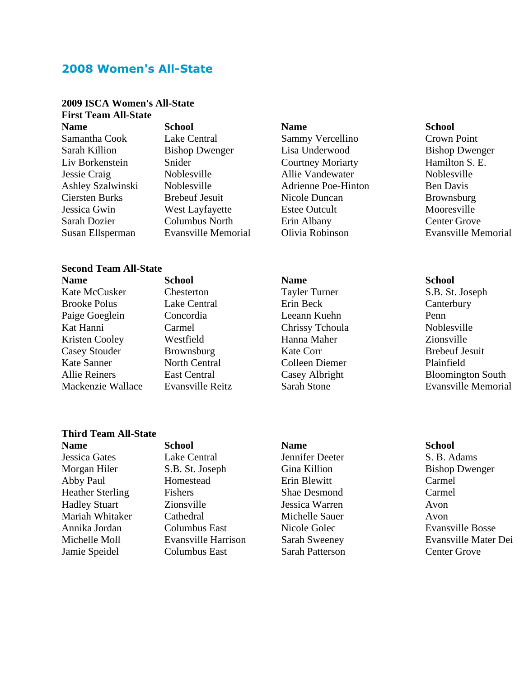# **2008 Women's All-State**

### **2009 ISCA Women's All-State First Team All-State**

**Name School Name School**

### **Second Team All-State**

**Name School Name School** Kate McCusker Chesterton Tayler Turner S.B. St. Joseph Brooke Polus Lake Central Erin Beck Canterbury Paige Goeglein Concordia Leeann Kuehn Penn Kat Hanni Carmel Carmel Chrissy Tchoula Noblesville Kristen Cooley Westfield Hanna Maher Zionsville Casey Stouder Brownsburg Kate Corr Brebeuf Jesuit Kate Sanner North Central Colleen Diemer Plainfield

# **Third Team All-State**

**Name School Name School** Jessica Gates Lake Central Jennifer Deeter S. B. Adams Morgan Hiler S.B. St. Joseph Gina Killion Bishop Dwenger Abby Paul Homestead Erin Blewitt Carmel Heather Sterling Fishers Shae Desmond Carmel Hadley Stuart Zionsville Jessica Warren Avon Mariah Whitaker Cathedral Michelle Sauer Avon Annika Jordan Columbus East Nicole Golec Evansville Bosse Jamie Speidel Columbus East Sarah Patterson Center Grove

Samantha Cook Lake Central Sammy Vercellino Crown Point Sarah Killion Bishop Dwenger Lisa Underwood Bishop Dwenger Liv Borkenstein Snider Courtney Moriarty Hamilton S. E. Jessie Craig Noblesville Allie Vandewater Noblesville Ashley Szalwinski Noblesville Adrienne Poe-Hinton Ben Davis Ciersten Burks Brebeuf Jesuit Nicole Duncan Brownsburg Jessica Gwin West Layfayette Estee Outcult Mooresville Sarah Dozier Columbus North Erin Albany Center Grove

Susan Ellsperman Evansville Memorial Olivia Robinson Evansville Memorial

Allie Reiners East Central Casey Albright Bloomington South Mackenzie Wallace Evansville Reitz Sarah Stone Evansville Memorial

Michelle Moll Evansville Harrison Sarah Sweeney Evansville Mater Dei